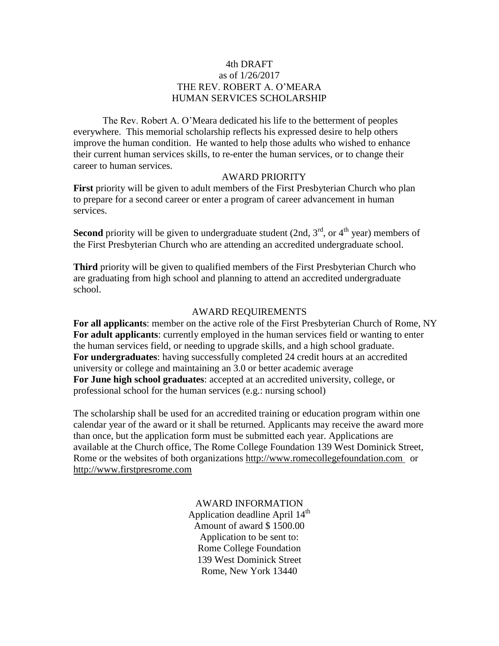## 4th DRAFT as of 1/26/2017 THE REV. ROBERT A. O'MEARA HUMAN SERVICES SCHOLARSHIP

The Rev. Robert A. O'Meara dedicated his life to the betterment of peoples everywhere. This memorial scholarship reflects his expressed desire to help others improve the human condition. He wanted to help those adults who wished to enhance their current human services skills, to re-enter the human services, or to change their career to human services.

#### AWARD PRIORITY

**First** priority will be given to adult members of the First Presbyterian Church who plan to prepare for a second career or enter a program of career advancement in human services.

**Second** priority will be given to undergraduate student (2nd,  $3<sup>rd</sup>$ , or  $4<sup>th</sup>$  year) members of the First Presbyterian Church who are attending an accredited undergraduate school.

**Third** priority will be given to qualified members of the First Presbyterian Church who are graduating from high school and planning to attend an accredited undergraduate school.

### AWARD REQUIREMENTS

**For all applicants**: member on the active role of the First Presbyterian Church of Rome, NY **For adult applicants**: currently employed in the human services field or wanting to enter the human services field, or needing to upgrade skills, and a high school graduate. **For undergraduates**: having successfully completed 24 credit hours at an accredited university or college and maintaining an 3.0 or better academic average **For June high school graduates**: accepted at an accredited university, college, or professional school for the human services (e.g.: nursing school)

The scholarship shall be used for an accredited training or education program within one calendar year of the award or it shall be returned. Applicants may receive the award more than once, but the application form must be submitted each year. Applications are available at the Church office, The Rome College Foundation 139 West Dominick Street, Rome or the websites of both organizations [http://www.romecollegefoundation.com](http://www.romecollegefoundation.com/) or [http://www.firstpresrome.com](http://www.firstpresrome.com/)

## AWARD INFORMATION

Application deadline April 14<sup>th</sup> Amount of award \$ 1500.00 Application to be sent to: Rome College Foundation 139 West Dominick Street Rome, New York 13440